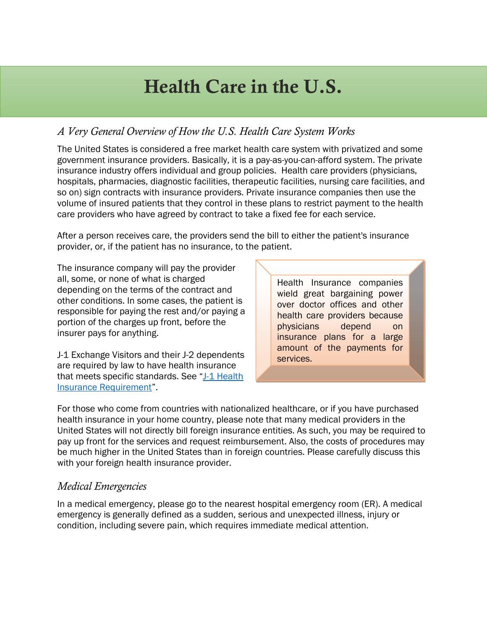# Health Care in the U.S.

### *A Very General Overview of How the U.S. Health Care System Works*

The United States is considered a free market health care system with privatized and some government insurance providers. Basically, it is a pay-as-you-can-afford system. The private insurance industry offers individual and group policies. Health care providers (physicians, hospitals, pharmacies, diagnostic facilities, therapeutic facilities, nursing care facilities, and so on) sign contracts with insurance providers. Private insurance companies then use the volume of insured patients that they control in these plans to restrict payment to the health care providers who have agreed by contract to take a fixed fee for each service.

After a person receives care, the providers send the bill to either the patient's insurance provider, or, if the patient has no insurance, to the patient.

The insurance company will pay the provider all, some, or none of what is charged depending on the terms of the contract and other conditions. In some cases, the patient is responsible for paying the rest and/or paying a portion of the charges up front, before the insurer pays for anything.

J-1 Exchange Visitors and their J-2 dependents are required by law to have health insurance that meets specific standards. See "J-1 Health [Insurance Requirement"](http://www.umaryland.edu/ois/scholars-and-employees/j-1-scholars/).

Health Insurance companies wield great bargaining power over doctor offices and other health care providers because physicians depend on insurance plans for a large amount of the payments for services.

For those who come from countries with nationalized healthcare, or if you have purchased health insurance in your home country, please note that many medical providers in the United States will not directly bill foreign insurance entities. As such, you may be required to pay up front for the services and request reimbursement. Also, the costs of procedures may be much higher in the United States than in foreign countries. Please carefully discuss this with your foreign health insurance provider.

#### *Medical Emergencies*

In a medical emergency, please go to the nearest hospital emergency room (ER). A medical emergency is generally defined as a sudden, serious and unexpected illness, injury or condition, including severe pain, which requires immediate medical attention.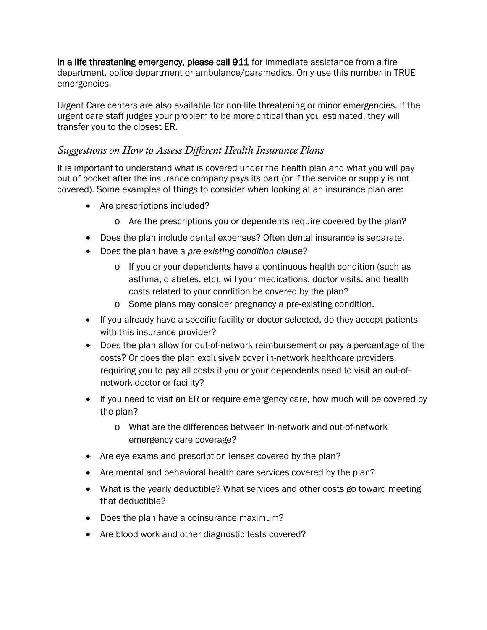In a life threatening emergency, please call 911 for immediate assistance from a fire department, police department or ambulance/paramedics. Only use this number in TRUE emergencies.

Urgent Care centers are also available for non-life threatening or minor emergencies. If the urgent care staff judges your problem to be more critical than you estimated, they will transfer you to the closest ER.

#### *Suggestions on How to Assess Different Health Insurance Plans*

It is important to understand what is covered under the health plan and what you will pay out of pocket after the insurance company pays its part (or if the service or supply is not covered). Some examples of things to consider when looking at an insurance plan are:

- Are prescriptions included?
	- o Are the prescriptions you or dependents require covered by the plan?
- Does the plan include dental expenses? Often dental insurance is separate.
- Does the plan have a *pre-existing condition clause*?
	- o If you or your dependents have a continuous health condition (such as asthma, diabetes, etc), will your medications, doctor visits, and health costs related to your condition be covered by the plan?
	- o Some plans may consider pregnancy a pre-existing condition.
- If you already have a specific facility or doctor selected, do they accept patients with this insurance provider?
- Does the plan allow for out-of-network reimbursement or pay a percentage of the costs? Or does the plan exclusively cover in-network healthcare providers, requiring you to pay all costs if you or your dependents need to visit an out-ofnetwork doctor or facility?
- If you need to visit an ER or require emergency care, how much will be covered by the plan?
	- o What are the differences between in-network and out-of-network emergency care coverage?
- Are eye exams and prescription lenses covered by the plan?
- Are mental and behavioral health care services covered by the plan?
- What is the yearly deductible? What services and other costs go toward meeting that deductible?
- Does the plan have a coinsurance maximum?
- Are blood work and other diagnostic tests covered?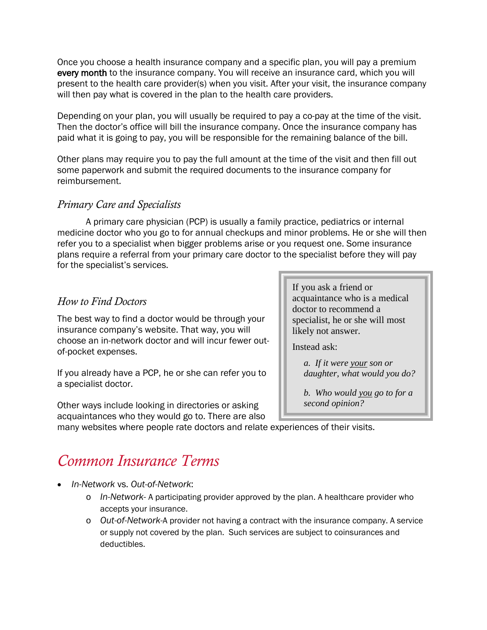Once you choose a health insurance company and a specific plan, you will pay a premium every month to the insurance company. You will receive an insurance card, which you will present to the health care provider(s) when you visit. After your visit, the insurance company will then pay what is covered in the plan to the health care providers.

Depending on your plan, you will usually be required to pay a co-pay at the time of the visit. Then the doctor's office will bill the insurance company. Once the insurance company has paid what it is going to pay, you will be responsible for the remaining balance of the bill.

Other plans may require you to pay the full amount at the time of the visit and then fill out some paperwork and submit the required documents to the insurance company for reimbursement.

#### *Primary Care and Specialists*

A primary care physician (PCP) is usually a family practice, pediatrics or internal medicine doctor who you go to for annual checkups and minor problems. He or she will then refer you to a specialist when bigger problems arise or you request one. Some insurance plans require a referral from your primary care doctor to the specialist before they will pay for the specialist's services.

#### *How to Find Doctors*

The best way to find a doctor would be through your insurance company's website. That way, you will choose an in-network doctor and will incur fewer outof-pocket expenses.

If you already have a PCP, he or she can refer you to a specialist doctor.

Other ways include looking in directories or asking acquaintances who they would go to. There are also If you ask a friend or acquaintance who is a medical doctor to recommend a specialist, he or she will most likely not answer.

Instead ask:

*a. If it were your son or daughter, what would you do?* 

*b. Who would you go to for a second opinion?* 

many websites where people rate doctors and relate experiences of their visits.

## *Common Insurance Terms*

- *In-Network* vs. *Out-of-Network*:
	- o *In-Network-* A participating provider approved by the plan. A healthcare provider who accepts your insurance.
	- o *Out-of-Network-*A provider not having a contract with the insurance company. A service or supply not covered by the plan. Such services are subject to coinsurances and deductibles.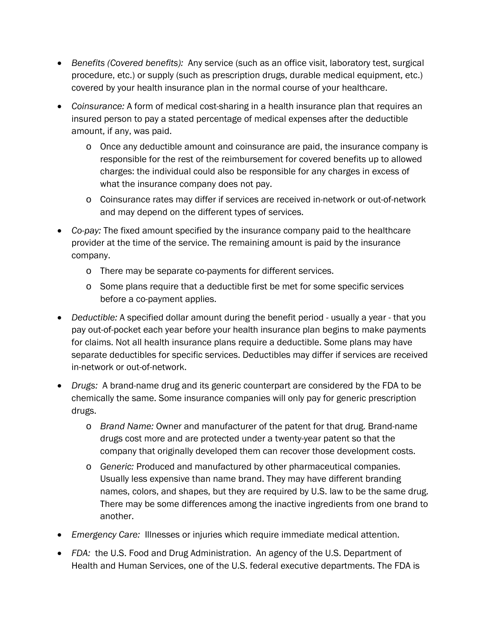- *Benefits (Covered benefits):* Any service (such as an office visit, laboratory test, surgical procedure, etc.) or supply (such as prescription drugs, durable medical equipment, etc.) covered by your health insurance plan in the normal course of your healthcare.
- *Coinsurance:* A form of medical cost-sharing in a health insurance plan that requires an insured person to pay a stated percentage of medical expenses after the deductible amount, if any, was paid.
	- o Once any deductible amount and coinsurance are paid, the insurance company is responsible for the rest of the reimbursement for covered benefits up to allowed charges: the individual could also be responsible for any charges in excess of what the insurance company does not pay.
	- o Coinsurance rates may differ if services are received in-network or out-of-network and may depend on the different types of services.
- *Co-pay:* The fixed amount specified by the insurance company paid to the healthcare provider at the time of the service. The remaining amount is paid by the insurance company.
	- o There may be separate co-payments for different services.
	- o Some plans require that a deductible first be met for some specific services before a co-payment applies.
- *Deductible:* A specified dollar amount during the benefit period usually a year that you pay out-of-pocket each year before your health insurance plan begins to make payments for claims. Not all health insurance plans require a deductible. Some plans may have separate deductibles for specific services. Deductibles may differ if services are received in-network or out-of-network.
- *Drugs:* A brand-name drug and its generic counterpart are considered by the FDA to be chemically the same. Some insurance companies will only pay for generic prescription drugs.
	- o *Brand Name:* Owner and manufacturer of the patent for that drug. Brand-name drugs cost more and are protected under a twenty-year patent so that the company that originally developed them can recover those development costs.
	- o *Generic:* Produced and manufactured by other pharmaceutical companies. Usually less expensive than name brand. They may have different branding names, colors, and shapes, but they are required by U.S. law to be the same drug. There may be some differences among the inactive ingredients from one brand to another.
- *Emergency Care:* Illnesses or injuries which require immediate medical attention.
- *FDA:* the U.S. Food and Drug Administration. An agency of the U.S. Department of Health and Human Services, one of the U.S. federal executive departments. The FDA is